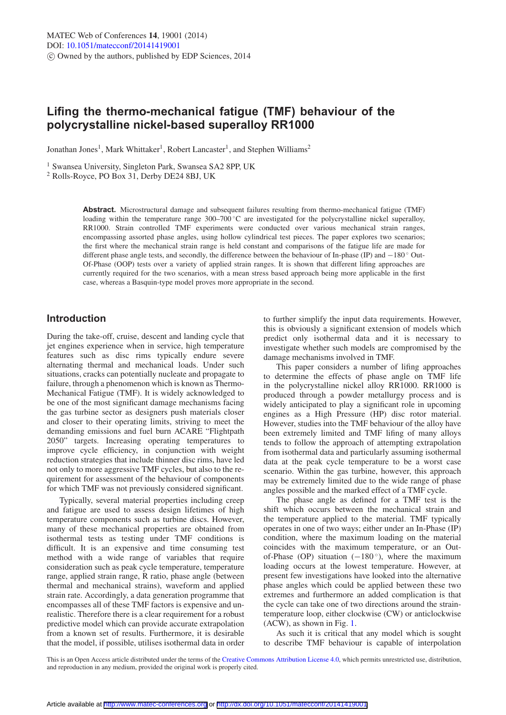# **Lifing the thermo-mechanical fatigue (TMF) behaviour of the polycrystalline nickel-based superalloy RR1000**

Jonathan Jones<sup>1</sup>, Mark Whittaker<sup>1</sup>, Robert Lancaster<sup>1</sup>, and Stephen Williams<sup>2</sup>

<sup>1</sup> Swansea University, Singleton Park, Swansea SA2 8PP, UK

<sup>2</sup> Rolls-Royce, PO Box 31, Derby DE24 8BJ, UK

**Abstract.** Microstructural damage and subsequent failures resulting from thermo-mechanical fatigue (TMF) loading within the temperature range 300–700 ◦C are investigated for the polycrystalline nickel superalloy, RR1000. Strain controlled TMF experiments were conducted over various mechanical strain ranges, encompassing assorted phase angles, using hollow cylindrical test pieces. The paper explores two scenarios; the first where the mechanical strain range is held constant and comparisons of the fatigue life are made for different phase angle tests, and secondly, the difference between the behaviour of In-phase (IP) and −180 ◦ Out-Of-Phase (OOP) tests over a variety of applied strain ranges. It is shown that different lifing approaches are currently required for the two scenarios, with a mean stress based approach being more applicable in the first case, whereas a Basquin-type model proves more appropriate in the second.

## **Introduction**

During the take-off, cruise, descent and landing cycle that jet engines experience when in service, high temperature features such as disc rims typically endure severe alternating thermal and mechanical loads. Under such situations, cracks can potentially nucleate and propagate to failure, through a phenomenon which is known as Thermo-Mechanical Fatigue (TMF). It is widely acknowledged to be one of the most significant damage mechanisms facing the gas turbine sector as designers push materials closer and closer to their operating limits, striving to meet the demanding emissions and fuel burn ACARE "Flightpath 2050" targets. Increasing operating temperatures to improve cycle efficiency, in conjunction with weight reduction strategies that include thinner disc rims, have led not only to more aggressive TMF cycles, but also to the requirement for assessment of the behaviour of components for which TMF was not previously considered significant.

Typically, several material properties including creep and fatigue are used to assess design lifetimes of high temperature components such as turbine discs. However, many of these mechanical properties are obtained from isothermal tests as testing under TMF conditions is difficult. It is an expensive and time consuming test method with a wide range of variables that require consideration such as peak cycle temperature, temperature range, applied strain range, R ratio, phase angle (between thermal and mechanical strains), waveform and applied strain rate. Accordingly, a data generation programme that encompasses all of these TMF factors is expensive and unrealistic. Therefore there is a clear requirement for a robust predictive model which can provide accurate extrapolation from a known set of results. Furthermore, it is desirable that the model, if possible, utilises isothermal data in order to further simplify the input data requirements. However, this is obviously a significant extension of models which predict only isothermal data and it is necessary to investigate whether such models are compromised by the damage mechanisms involved in TMF.

This paper considers a number of lifing approaches to determine the effects of phase angle on TMF life in the polycrystalline nickel alloy RR1000. RR1000 is produced through a powder metallurgy process and is widely anticipated to play a significant role in upcoming engines as a High Pressure (HP) disc rotor material. However, studies into the TMF behaviour of the alloy have been extremely limited and TMF lifing of many alloys tends to follow the approach of attempting extrapolation from isothermal data and particularly assuming isothermal data at the peak cycle temperature to be a worst case scenario. Within the gas turbine, however, this approach may be extremely limited due to the wide range of phase angles possible and the marked effect of a TMF cycle.

The phase angle as defined for a TMF test is the shift which occurs between the mechanical strain and the temperature applied to the material. TMF typically operates in one of two ways; either under an In-Phase (IP) condition, where the maximum loading on the material coincides with the maximum temperature, or an Outof-Phase (OP) situation ( $-180^\circ$ ), where the maximum loading occurs at the lowest temperature. However, at present few investigations have looked into the alternative phase angles which could be applied between these two extremes and furthermore an added complication is that the cycle can take one of two directions around the straintemperature loop, either clockwise (CW) or anticlockwise (ACW), as shown in Fig. [1.](#page-1-0)

As such it is critical that any model which is sought to describe TMF behaviour is capable of interpolation

This is an Open Access article distributed under the terms of the [Creative Commons Attribution License 4.0,](http://creativecommons.org/licenses/by/4.0/) which permits unrestricted use, distribution, and reproduction in any medium, provided the original work is properly cited.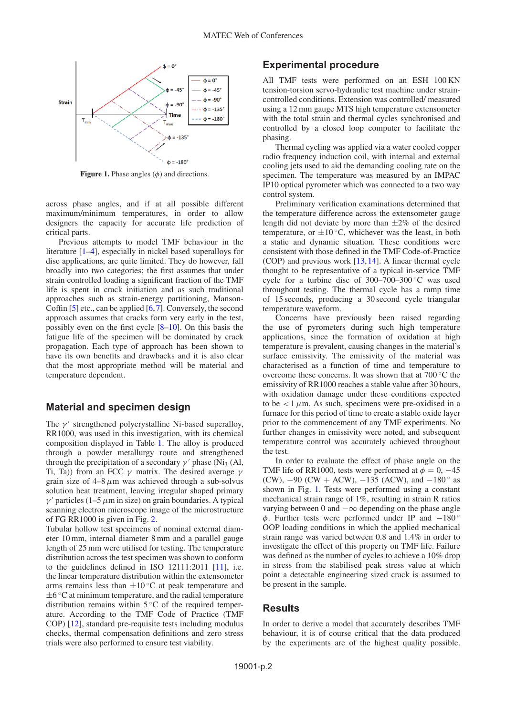<span id="page-1-0"></span>

**Figure 1.** Phase angles  $(\phi)$  and directions.

across phase angles, and if at all possible different maximum/minimum temperatures, in order to allow designers the capacity for accurate life prediction of critical parts.

Previous attempts to model TMF behaviour in the literature [\[1](#page-5-0)[–4](#page-5-1)], especially in nickel based superalloys for disc applications, are quite limited. They do however, fall broadly into two categories; the first assumes that under strain controlled loading a significant fraction of the TMF life is spent in crack initiation and as such traditional approaches such as strain-energy partitioning, Manson-Coffin  $[5]$  $[5]$  etc., can be applied  $[6,7]$  $[6,7]$  $[6,7]$ . Conversely, the second approach assumes that cracks form very early in the test, possibly even on the first cycle [\[8](#page-5-5)[–10](#page-5-6)]. On this basis the fatigue life of the specimen will be dominated by crack propagation. Each type of approach has been shown to have its own benefits and drawbacks and it is also clear that the most appropriate method will be material and temperature dependent.

#### **Material and specimen design**

The  $\gamma'$  strengthened polycrystalline Ni-based superalloy, RR1000, was used in this investigation, with its chemical composition displayed in Table [1.](#page-2-0) The alloy is produced through a powder metallurgy route and strengthened through the precipitation of a secondary  $\gamma'$  phase (Ni<sub>3</sub> (Al, Ti, Ta)) from an FCC  $\gamma$  matrix. The desired average  $\gamma$ grain size of  $4-8 \mu m$  was achieved through a sub-solvus solution heat treatment, leaving irregular shaped primary  $\gamma'$  particles (1–5  $\mu$ m in size) on grain boundaries. A typical scanning electron microscope image of the microstructure of FG RR1000 is given in Fig. [2.](#page-2-1)

Tubular hollow test specimens of nominal external diameter 10 mm, internal diameter 8 mm and a parallel gauge length of 25 mm were utilised for testing. The temperature distribution across the test specimen was shown to conform to the guidelines defined in ISO 12111:2011 [\[11](#page-5-7)], i.e. the linear temperature distribution within the extensometer arms remains less than  $\pm 10^{\circ}$ C at peak temperature and  $\pm 6$  °C at minimum temperature, and the radial temperature distribution remains within  $5^{\circ}$ C of the required temperature. According to the TMF Code of Practice (TMF COP) [\[12\]](#page-5-8), standard pre-requisite tests including modulus checks, thermal compensation definitions and zero stress trials were also performed to ensure test viability.

#### **Experimental procedure**

All TMF tests were performed on an ESH 100 KN tension-torsion servo-hydraulic test machine under straincontrolled conditions. Extension was controlled/ measured using a 12 mm gauge MTS high temperature extensometer with the total strain and thermal cycles synchronised and controlled by a closed loop computer to facilitate the phasing.

Thermal cycling was applied via a water cooled copper radio frequency induction coil, with internal and external cooling jets used to aid the demanding cooling rate on the specimen. The temperature was measured by an IMPAC IP10 optical pyrometer which was connected to a two way control system.

Preliminary verification examinations determined that the temperature difference across the extensometer gauge length did not deviate by more than  $\pm 2\%$  of the desired temperature, or  $\pm 10^{\circ}$ C, whichever was the least, in both a static and dynamic situation. These conditions were consistent with those defined in the TMF Code-of-Practice (COP) and previous work [\[13](#page-5-9)[,14](#page-5-10)]. A linear thermal cycle thought to be representative of a typical in-service TMF cycle for a turbine disc of 300–700–300 ◦C was used throughout testing. The thermal cycle has a ramp time of 15 seconds, producing a 30 second cycle triangular temperature waveform.

Concerns have previously been raised regarding the use of pyrometers during such high temperature applications, since the formation of oxidation at high temperature is prevalent, causing changes in the material's surface emissivity. The emissivity of the material was characterised as a function of time and temperature to overcome these concerns. It was shown that at 700 ◦C the emissivity of RR1000 reaches a stable value after 30 hours, with oxidation damage under these conditions expected to be  $\lt 1 \mu$ m. As such, specimens were pre-oxidised in a furnace for this period of time to create a stable oxide layer prior to the commencement of any TMF experiments. No further changes in emissivity were noted, and subsequent temperature control was accurately achieved throughout the test.

In order to evaluate the effect of phase angle on the TMF life of RR1000, tests were performed at  $\phi = 0, -45$ (CW),  $-90$  (CW + ACW),  $-135$  (ACW), and  $-180^\circ$  as shown in Fig. [1.](#page-1-0) Tests were performed using a constant mechanical strain range of 1%, resulting in strain R ratios varying between 0 and  $-\infty$  depending on the phase angle  $\phi$ . Further tests were performed under IP and  $-180^\circ$ OOP loading conditions in which the applied mechanical strain range was varied between 0.8 and 1.4% in order to investigate the effect of this property on TMF life. Failure was defined as the number of cycles to achieve a 10% drop in stress from the stabilised peak stress value at which point a detectable engineering sized crack is assumed to be present in the sample.

## **Results**

In order to derive a model that accurately describes TMF behaviour, it is of course critical that the data produced by the experiments are of the highest quality possible.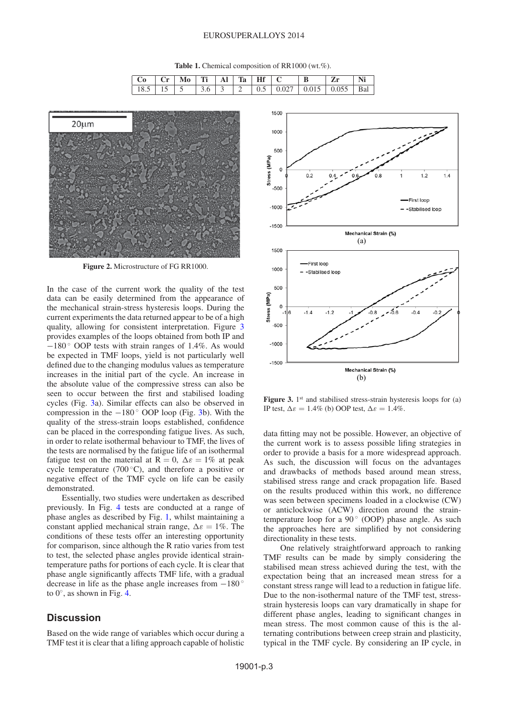**Table 1.** Chemical composition of RR1000 (wt.%).

<span id="page-2-0"></span>

| $\mathbf{a}^{\prime}$ | $\mathbf{r}$ | Ti | Ta | Hf |                                                           |  |  |
|-----------------------|--------------|----|----|----|-----------------------------------------------------------|--|--|
|                       |              |    |    |    | 18.5   15   5   3.6   3   2   0.5   0.027   0.015   0.055 |  |  |

<span id="page-2-1"></span>

**Figure 2.** Microstructure of FG RR1000.

In the case of the current work the quality of the test data can be easily determined from the appearance of the mechanical strain-stress hysteresis loops. During the current experiments the data returned appear to be of a high quality, allowing for consistent interpretation. Figure [3](#page-2-2) provides examples of the loops obtained from both IP and −180 ◦ OOP tests with strain ranges of 1.4%. As would be expected in TMF loops, yield is not particularly well defined due to the changing modulus values as temperature increases in the initial part of the cycle. An increase in the absolute value of the compressive stress can also be seen to occur between the first and stabilised loading cycles (Fig. [3a](#page-2-2)). Similar effects can also be observed in compression in the  $-180^\circ$  OOP loop (Fig. [3b](#page-2-2)). With the quality of the stress-strain loops established, confidence can be placed in the corresponding fatigue lives. As such, in order to relate isothermal behaviour to TMF, the lives of the tests are normalised by the fatigue life of an isothermal fatigue test on the material at  $R = 0$ ,  $\Delta \varepsilon = 1\%$  at peak cycle temperature (700 $\degree$ C), and therefore a positive or negative effect of the TMF cycle on life can be easily demonstrated.

Essentially, two studies were undertaken as described previously. In Fig. [4](#page-3-0) tests are conducted at a range of phase angles as described by Fig. [1,](#page-1-0) whilst maintaining a constant applied mechanical strain range,  $\Delta \varepsilon = 1\%$ . The conditions of these tests offer an interesting opportunity for comparison, since although the R ratio varies from test to test, the selected phase angles provide identical straintemperature paths for portions of each cycle. It is clear that phase angle significantly affects TMF life, with a gradual decrease in life as the phase angle increases from  $-180^\circ$ to  $0^\circ$ , as shown in Fig. [4.](#page-3-0)

# **Discussion**

Based on the wide range of variables which occur during a TMF test it is clear that a lifing approach capable of holistic

<span id="page-2-2"></span>

**Figure 3.** 1<sup>st</sup> and stabilised stress-strain hysteresis loops for (a) IP test,  $\Delta \varepsilon = 1.4\%$  (b) OOP test,  $\Delta \varepsilon = 1.4\%$ .

data fitting may not be possible. However, an objective of the current work is to assess possible lifing strategies in order to provide a basis for a more widespread approach. As such, the discussion will focus on the advantages and drawbacks of methods based around mean stress, stabilised stress range and crack propagation life. Based on the results produced within this work, no difference was seen between specimens loaded in a clockwise (CW) or anticlockwise (ACW) direction around the straintemperature loop for a  $90^\circ$  (OOP) phase angle. As such the approaches here are simplified by not considering directionality in these tests.

One relatively straightforward approach to ranking TMF results can be made by simply considering the stabilised mean stress achieved during the test, with the expectation being that an increased mean stress for a constant stress range will lead to a reduction in fatigue life. Due to the non-isothermal nature of the TMF test, stressstrain hysteresis loops can vary dramatically in shape for different phase angles, leading to significant changes in mean stress. The most common cause of this is the alternating contributions between creep strain and plasticity, typical in the TMF cycle. By considering an IP cycle, in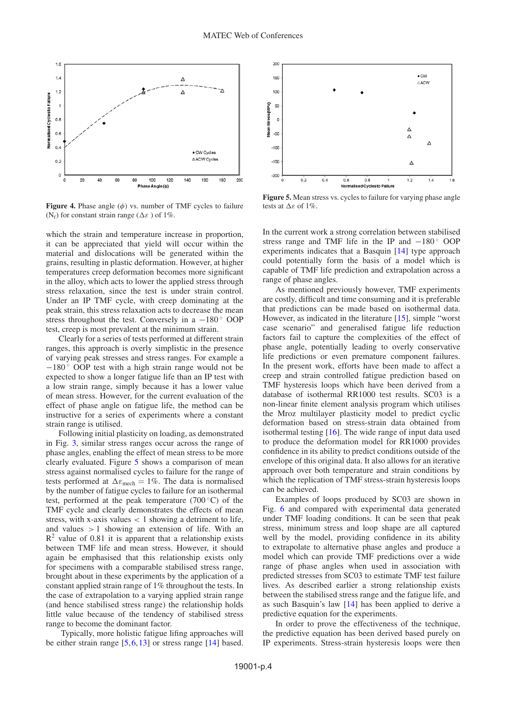<span id="page-3-0"></span>

**Figure 4.** Phase angle  $(\phi)$  vs. number of TMF cycles to failure (N<sub>f</sub>) for constant strain range ( $\Delta \varepsilon$ ) of 1%.

which the strain and temperature increase in proportion, it can be appreciated that yield will occur within the material and dislocations will be generated within the grains, resulting in plastic deformation. However, at higher temperatures creep deformation becomes more significant in the alloy, which acts to lower the applied stress through stress relaxation, since the test is under strain control. Under an IP TMF cycle, with creep dominating at the peak strain, this stress relaxation acts to decrease the mean stress throughout the test. Conversely in a  $-180^\circ$  OOP test, creep is most prevalent at the minimum strain.

Clearly for a series of tests performed at different strain ranges, this approach is overly simplistic in the presence of varying peak stresses and stress ranges. For example a −180 ◦ OOP test with a high strain range would not be expected to show a longer fatigue life than an IP test with a low strain range, simply because it has a lower value of mean stress. However, for the current evaluation of the effect of phase angle on fatigue life, the method can be instructive for a series of experiments where a constant strain range is utilised.

Following initial plasticity on loading, as demonstrated in Fig. [3,](#page-2-2) similar stress ranges occur across the range of phase angles, enabling the effect of mean stress to be more clearly evaluated. Figure [5](#page-3-1) shows a comparison of mean stress against normalised cycles to failure for the range of tests performed at  $\Delta \varepsilon_{\text{mech}} = 1\%$ . The data is normalised by the number of fatigue cycles to failure for an isothermal test, performed at the peak temperature (700 $\degree$ C) of the TMF cycle and clearly demonstrates the effects of mean stress, with x-axis values  $\langle 1 \rangle$  showing a detriment to life, and values  $> 1$  showing an extension of life. With an  $R<sup>2</sup>$  value of 0.81 it is apparent that a relationship exists between TMF life and mean stress. However, it should again be emphasised that this relationship exists only for specimens with a comparable stabilised stress range, brought about in these experiments by the application of a constant applied strain range of 1% throughout the tests. In the case of extrapolation to a varying applied strain range (and hence stabilised stress range) the relationship holds little value because of the tendency of stabilised stress range to become the dominant factor.

Typically, more holistic fatigue lifing approaches will be either strain range [\[5](#page-5-2),[6,](#page-5-3)[13](#page-5-9)] or stress range [\[14\]](#page-5-10) based.

<span id="page-3-1"></span>

**Figure 5.** Mean stress vs. cycles to failure for varying phase angle tests at  $\Delta \varepsilon$  of 1%.

In the current work a strong correlation between stabilised stress range and TMF life in the IP and  $-180^\circ$  OOP experiments indicates that a Basquin [\[14\]](#page-5-10) type approach could potentially form the basis of a model which is capable of TMF life prediction and extrapolation across a range of phase angles.

As mentioned previously however, TMF experiments are costly, difficult and time consuming and it is preferable that predictions can be made based on isothermal data. However, as indicated in the literature [\[15](#page-5-11)], simple "worst case scenario" and generalised fatigue life reduction factors fail to capture the complexities of the effect of phase angle, potentially leading to overly conservative life predictions or even premature component failures. In the present work, efforts have been made to affect a creep and strain controlled fatigue prediction based on TMF hysteresis loops which have been derived from a database of isothermal RR1000 test results. SC03 is a non-linear finite element analysis program which utilises the Mroz multilayer plasticity model to predict cyclic deformation based on stress-strain data obtained from isothermal testing [\[16](#page-5-12)]. The wide range of input data used to produce the deformation model for RR1000 provides confidence in its ability to predict conditions outside of the envelope of this original data. It also allows for an iterative approach over both temperature and strain conditions by which the replication of TMF stress-strain hysteresis loops can be achieved.

Examples of loops produced by SC03 are shown in Fig. [6](#page-4-0) and compared with experimental data generated under TMF loading conditions. It can be seen that peak stress, minimum stress and loop shape are all captured well by the model, providing confidence in its ability to extrapolate to alternative phase angles and produce a model which can provide TMF predictions over a wide range of phase angles when used in association with predicted stresses from SC03 to estimate TMF test failure lives. As described earlier a strong relationship exists between the stabilised stress range and the fatigue life, and as such Basquin's law [\[14](#page-5-10)] has been applied to derive a predictive equation for the experiments.

In order to prove the effectiveness of the technique, the predictive equation has been derived based purely on IP experiments. Stress-strain hysteresis loops were then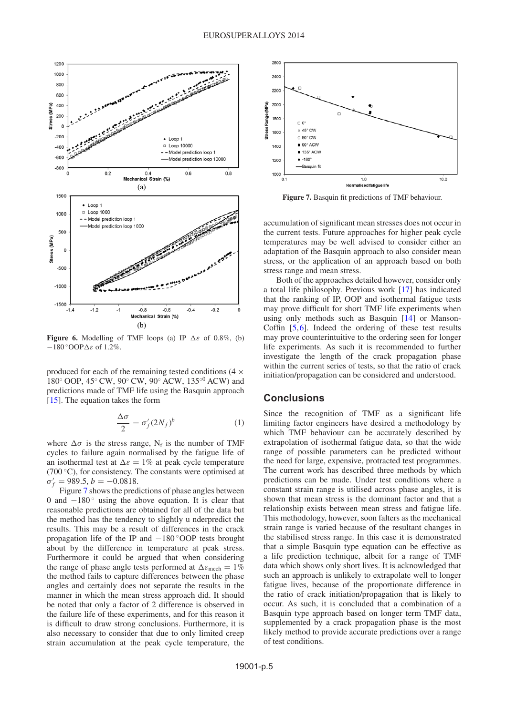<span id="page-4-0"></span>

**Figure 6.** Modelling of TMF loops (a) IP  $\Delta \varepsilon$  of 0.8%, (b)  $-180°$ OOP $\Delta \varepsilon$  of 1.2%.

produced for each of the remaining tested conditions  $(4 \times$ 180◦ OOP, 45◦ CW, 90◦ CW, 90◦ ACW, 135◦<sup>0</sup> ACW) and predictions made of TMF life using the Basquin approach [\[15](#page-5-11)]. The equation takes the form

$$
\frac{\Delta \sigma}{2} = \sigma_f' (2N_f)^b \tag{1}
$$

where  $\Delta \sigma$  is the stress range, N<sub>f</sub> is the number of TMF cycles to failure again normalised by the fatigue life of an isothermal test at  $\Delta \varepsilon = 1\%$  at peak cycle temperature (700 $\degree$ C), for consistency. The constants were optimised at  $\sigma'_f = 989.5, b = -0.0818.$ 

Figure [7](#page-4-1) shows the predictions of phase angles between 0 and  $-180^\circ$  using the above equation. It is clear that reasonable predictions are obtained for all of the data but the method has the tendency to slightly u nderpredict the results. This may be a result of differences in the crack propagation life of the IP and  $-180°$ OOP tests brought about by the difference in temperature at peak stress. Furthermore it could be argued that when considering the range of phase angle tests performed at  $\Delta \varepsilon_{\text{mech}} = 1\%$ the method fails to capture differences between the phase angles and certainly does not separate the results in the manner in which the mean stress approach did. It should be noted that only a factor of 2 difference is observed in the failure life of these experiments, and for this reason it is difficult to draw strong conclusions. Furthermore, it is also necessary to consider that due to only limited creep strain accumulation at the peak cycle temperature, the

<span id="page-4-1"></span>

**Figure 7.** Basquin fit predictions of TMF behaviour.

accumulation of significant mean stresses does not occur in the current tests. Future approaches for higher peak cycle temperatures may be well advised to consider either an adaptation of the Basquin approach to also consider mean stress, or the application of an approach based on both stress range and mean stress.

Both of the approaches detailed however, consider only a total life philosophy. Previous work [\[17\]](#page-5-13) has indicated that the ranking of IP, OOP and isothermal fatigue tests may prove difficult for short TMF life experiments when using only methods such as Basquin [\[14](#page-5-10)] or Manson-Coffin [\[5](#page-5-2)[,6](#page-5-3)]. Indeed the ordering of these test results may prove counterintuitive to the ordering seen for longer life experiments. As such it is recommended to further investigate the length of the crack propagation phase within the current series of tests, so that the ratio of crack initiation/propagation can be considered and understood.

#### **Conclusions**

Since the recognition of TMF as a significant life limiting factor engineers have desired a methodology by which TMF behaviour can be accurately described by extrapolation of isothermal fatigue data, so that the wide range of possible parameters can be predicted without the need for large, expensive, protracted test programmes. The current work has described three methods by which predictions can be made. Under test conditions where a constant strain range is utilised across phase angles, it is shown that mean stress is the dominant factor and that a relationship exists between mean stress and fatigue life. This methodology, however, soon falters as the mechanical strain range is varied because of the resultant changes in the stabilised stress range. In this case it is demonstrated that a simple Basquin type equation can be effective as a life prediction technique, albeit for a range of TMF data which shows only short lives. It is acknowledged that such an approach is unlikely to extrapolate well to longer fatigue lives, because of the proportionate difference in the ratio of crack initiation/propagation that is likely to occur. As such, it is concluded that a combination of a Basquin type approach based on longer term TMF data, supplemented by a crack propagation phase is the most likely method to provide accurate predictions over a range of test conditions.